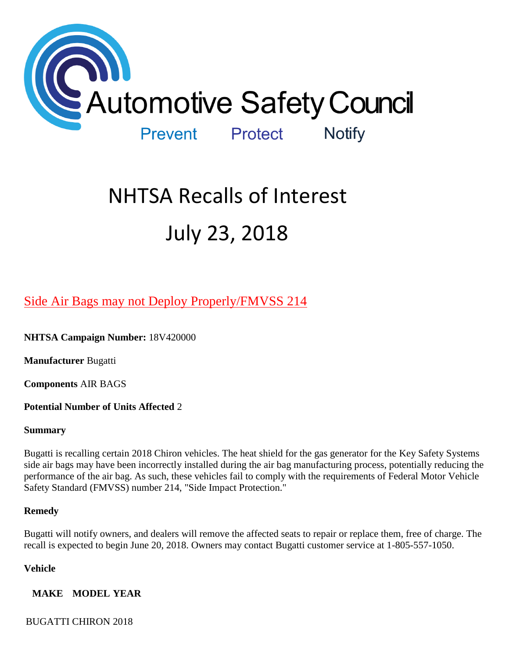

# NHTSA Recalls of Interest July 23, 2018

# [Side Air Bags may not Deploy Properly/FMVSS 214](https://www.nhtsa.gov/recalls?nhtsaId=18V420#recalls380)

**NHTSA Campaign Number:** 18V420000

**Manufacturer** Bugatti

**Components** AIR BAGS

**Potential Number of Units Affected** 2

# **Summary**

Bugatti is recalling certain 2018 Chiron vehicles. The heat shield for the gas generator for the Key Safety Systems side air bags may have been incorrectly installed during the air bag manufacturing process, potentially reducing the performance of the air bag. As such, these vehicles fail to comply with the requirements of Federal Motor Vehicle Safety Standard (FMVSS) number 214, "Side Impact Protection."

# **Remedy**

Bugatti will notify owners, and dealers will remove the affected seats to repair or replace them, free of charge. The recall is expected to begin June 20, 2018. Owners may contact Bugatti customer service at 1-805-557-1050.

# **Vehicle**

**MAKE MODEL YEAR**

BUGATTI CHIRON 2018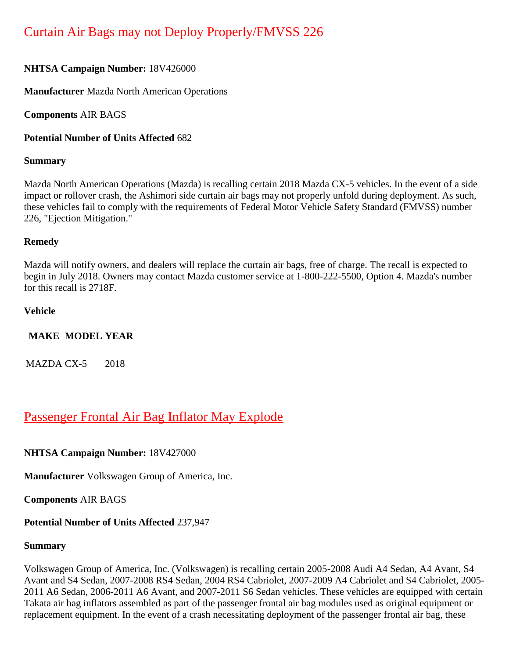# **NHTSA Campaign Number:** 18V426000

**Manufacturer** Mazda North American Operations

**Components** AIR BAGS

**Potential Number of Units Affected** 682

# **Summary**

Mazda North American Operations (Mazda) is recalling certain 2018 Mazda CX-5 vehicles. In the event of a side impact or rollover crash, the Ashimori side curtain air bags may not properly unfold during deployment. As such, these vehicles fail to comply with the requirements of Federal Motor Vehicle Safety Standard (FMVSS) number 226, "Ejection Mitigation."

# **Remedy**

Mazda will notify owners, and dealers will replace the curtain air bags, free of charge. The recall is expected to begin in July 2018. Owners may contact Mazda customer service at 1-800-222-5500, Option 4. Mazda's number for this recall is 2718F.

# **Vehicle**

# **MAKE MODEL YEAR**

MAZDA CX-5 2018

# [Passenger Frontal Air Bag Inflator May Explode](https://www.nhtsa.gov/recalls?nhtsaId=18V427#recalls380)

**NHTSA Campaign Number:** 18V427000

**Manufacturer** Volkswagen Group of America, Inc.

**Components** AIR BAGS

# **Potential Number of Units Affected** 237,947

# **Summary**

Volkswagen Group of America, Inc. (Volkswagen) is recalling certain 2005-2008 Audi A4 Sedan, A4 Avant, S4 Avant and S4 Sedan, 2007-2008 RS4 Sedan, 2004 RS4 Cabriolet, 2007-2009 A4 Cabriolet and S4 Cabriolet, 2005- 2011 A6 Sedan, 2006-2011 A6 Avant, and 2007-2011 S6 Sedan vehicles. These vehicles are equipped with certain Takata air bag inflators assembled as part of the passenger frontal air bag modules used as original equipment or replacement equipment. In the event of a crash necessitating deployment of the passenger frontal air bag, these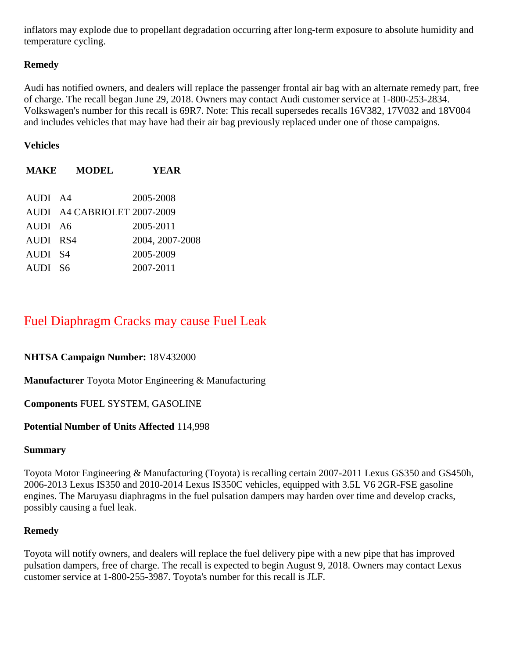inflators may explode due to propellant degradation occurring after long-term exposure to absolute humidity and temperature cycling.

# **Remedy**

Audi has notified owners, and dealers will replace the passenger frontal air bag with an alternate remedy part, free of charge. The recall began June 29, 2018. Owners may contact Audi customer service at 1-800-253-2834. Volkswagen's number for this recall is 69R7. Note: This recall supersedes recalls 16V382, 17V032 and 18V004 and includes vehicles that may have had their air bag previously replaced under one of those campaigns.

# **Vehicles**

|          | <b>MAKE MODEL</b>           | YEAR            |
|----------|-----------------------------|-----------------|
|          |                             |                 |
| AUDI A4  |                             | 2005-2008       |
|          | AUDI A4 CABRIOLET 2007-2009 |                 |
| AUDI A6  |                             | 2005-2011       |
| AUDI RS4 |                             | 2004, 2007-2008 |
| AUDI S4  |                             | 2005-2009       |
| AUDI S6  |                             | 2007-2011       |

# [Fuel Diaphragm Cracks may cause Fuel Leak](https://www.nhtsa.gov/recalls?nhtsaId=18V432#recalls380)

# **NHTSA Campaign Number:** 18V432000

**Manufacturer** Toyota Motor Engineering & Manufacturing

# **Components** FUEL SYSTEM, GASOLINE

#### **Potential Number of Units Affected** 114,998

#### **Summary**

Toyota Motor Engineering & Manufacturing (Toyota) is recalling certain 2007-2011 Lexus GS350 and GS450h, 2006-2013 Lexus IS350 and 2010-2014 Lexus IS350C vehicles, equipped with 3.5L V6 2GR-FSE gasoline engines. The Maruyasu diaphragms in the fuel pulsation dampers may harden over time and develop cracks, possibly causing a fuel leak.

# **Remedy**

Toyota will notify owners, and dealers will replace the fuel delivery pipe with a new pipe that has improved pulsation dampers, free of charge. The recall is expected to begin August 9, 2018. Owners may contact Lexus customer service at 1-800-255-3987. Toyota's number for this recall is JLF.